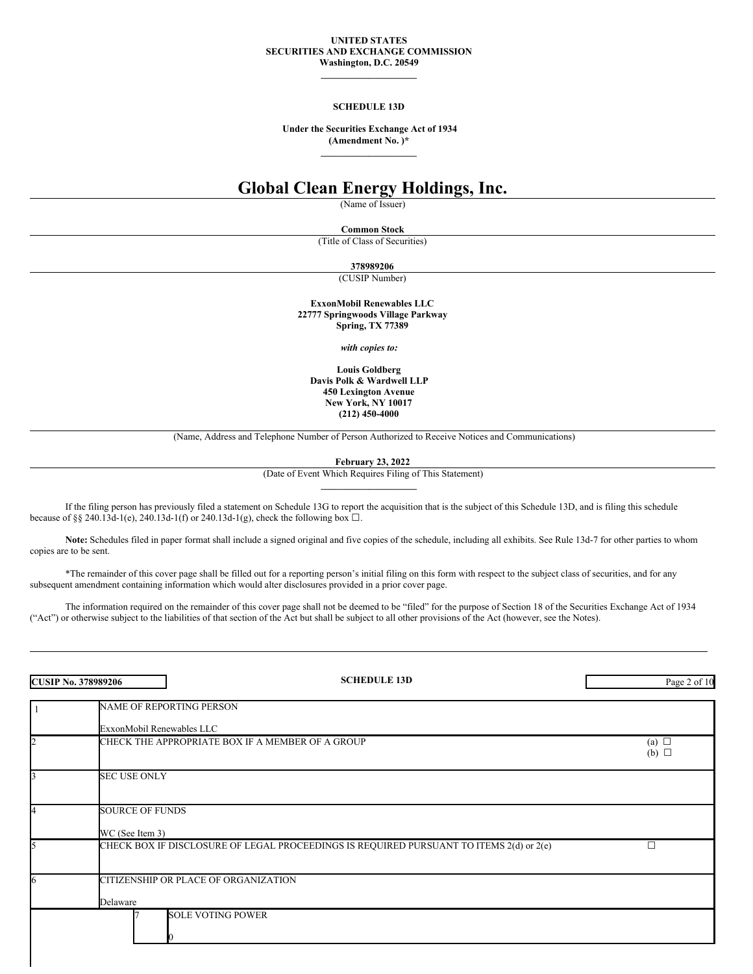#### **UNITED STATES SECURITIES AND EXCHANGE COMMISSION Washington, D.C. 20549**

**\_\_\_\_\_\_\_\_\_\_\_\_\_\_\_\_\_\_\_\_**

### **SCHEDULE 13D**

**Under the Securities Exchange Act of 1934 (Amendment No. )\* \_\_\_\_\_\_\_\_\_\_\_\_\_\_\_\_\_\_\_\_**

# **Global Clean Energy Holdings, Inc.**

(Name of Issuer)

**Common Stock**

(Title of Class of Securities)

**378989206**

(CUSIP Number)

**ExxonMobil Renewables LLC 22777 Springwoods Village Parkway Spring, TX 77389**

*with copies to:*

**Louis Goldberg Davis Polk & Wardwell LLP 450 Lexington Avenue New York, NY 10017 (212) 450-4000**

(Name, Address and Telephone Number of Person Authorized to Receive Notices and Communications)

**February 23, 2022**

(Date of Event Which Requires Filing of This Statement) **\_\_\_\_\_\_\_\_\_\_\_\_\_\_\_\_\_\_\_\_**

If the filing person has previously filed a statement on Schedule 13G to report the acquisition that is the subject of this Schedule 13D, and is filing this schedule because of §§ 240.13d-1(e), 240.13d-1(f) or 240.13d-1(g), check the following box  $\Box$ .

Note: Schedules filed in paper format shall include a signed original and five copies of the schedule, including all exhibits. See Rule 13d-7 for other parties to whom copies are to be sent.

\*The remainder of this cover page shall be filled out for a reporting person's initial filing on this form with respect to the subject class of securities, and for any subsequent amendment containing information which would alter disclosures provided in a prior cover page.

The information required on the remainder of this cover page shall not be deemed to be "filed" for the purpose of Section 18 of the Securities Exchange Act of 1934 ("Act") or otherwise subject to the liabilities of that section of the Act but shall be subject to all other provisions of the Act (however, see the Notes).

| <b>CUSIP No. 378989206</b> |                                           | <b>SCHEDULE 13D</b>                                                                     | Page 2 of 10             |  |
|----------------------------|-------------------------------------------|-----------------------------------------------------------------------------------------|--------------------------|--|
|                            |                                           | NAME OF REPORTING PERSON                                                                |                          |  |
|                            | ExxonMobil Renewables LLC                 |                                                                                         |                          |  |
| 2                          |                                           | CHECK THE APPROPRIATE BOX IF A MEMBER OF A GROUP                                        | (a) $\Box$<br>(b) $\Box$ |  |
|                            | <b>SEC USE ONLY</b>                       |                                                                                         |                          |  |
|                            | <b>SOURCE OF FUNDS</b><br>WC (See Item 3) |                                                                                         |                          |  |
|                            |                                           | CHECK BOX IF DISCLOSURE OF LEGAL PROCEEDINGS IS REQUIRED PURSUANT TO ITEMS 2(d) or 2(e) |                          |  |
| h                          |                                           | CITIZENSHIP OR PLACE OF ORGANIZATION                                                    |                          |  |
|                            | Delaware                                  |                                                                                         |                          |  |
|                            |                                           | <b>SOLE VOTING POWER</b>                                                                |                          |  |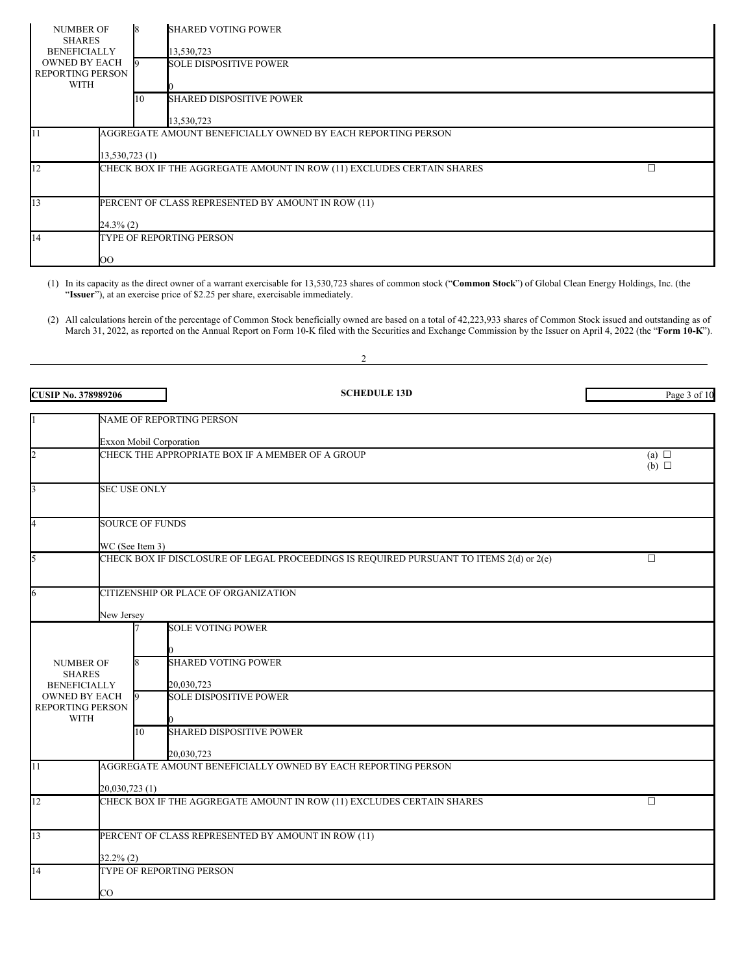| <b>NUMBER OF</b><br><b>SHARES</b><br><b>BENEFICIALLY</b><br><b>OWNED BY EACH</b><br><b>REPORTING PERSON</b><br><b>WITH</b> |                                                              |    | <b>SHARED VOTING POWER</b>      |  |
|----------------------------------------------------------------------------------------------------------------------------|--------------------------------------------------------------|----|---------------------------------|--|
|                                                                                                                            |                                                              |    | 13,530,723                      |  |
|                                                                                                                            |                                                              |    | <b>SOLE DISPOSITIVE POWER</b>   |  |
|                                                                                                                            |                                                              |    |                                 |  |
|                                                                                                                            |                                                              | 10 | <b>SHARED DISPOSITIVE POWER</b> |  |
|                                                                                                                            |                                                              |    | 13,530,723                      |  |
|                                                                                                                            | AGGREGATE AMOUNT BENEFICIALLY OWNED BY EACH REPORTING PERSON |    |                                 |  |
|                                                                                                                            | 13,530,723 (1)                                               |    |                                 |  |
| CHECK BOX IF THE AGGREGATE AMOUNT IN ROW (11) EXCLUDES CERTAIN SHARES                                                      |                                                              | П  |                                 |  |
|                                                                                                                            |                                                              |    |                                 |  |
| 13                                                                                                                         | PERCENT OF CLASS REPRESENTED BY AMOUNT IN ROW (11)           |    |                                 |  |
|                                                                                                                            | 24.3% (2)                                                    |    |                                 |  |
| 14                                                                                                                         | TYPE OF REPORTING PERSON                                     |    |                                 |  |
|                                                                                                                            | OO                                                           |    |                                 |  |

(1) In its capacity as the direct owner of a warrant exercisable for 13,530,723 shares of common stock ("**Common Stock**") of Global Clean Energy Holdings, Inc. (the "**Issuer**"), at an exercise price of \$2.25 per share, exercisable immediately.

2

(2) All calculations herein of the percentage of Common Stock beneficially owned are based on a total of 42,223,933 shares of Common Stock issued and outstanding as of March 31, 2022, as reported on the Annual Report on Form 10-K filed with the Securities and Exchange Commission by the Issuer on April 4, 2022 (the "**Form 10-K**").

| <b>CUSIP No. 378989206</b>                                     |                                                                                                   |    | <b>SCHEDULE 13D</b>                                                                     | Page 3 of 10                  |
|----------------------------------------------------------------|---------------------------------------------------------------------------------------------------|----|-----------------------------------------------------------------------------------------|-------------------------------|
|                                                                |                                                                                                   |    | <b>NAME OF REPORTING PERSON</b>                                                         |                               |
|                                                                |                                                                                                   |    |                                                                                         |                               |
| $\overline{c}$                                                 | <b>Exxon Mobil Corporation</b><br>CHECK THE APPROPRIATE BOX IF A MEMBER OF A GROUP                |    |                                                                                         | (a) $\Box$<br>$(b)$ $\square$ |
| $\overline{\mathbf{3}}$                                        | <b>SEC USE ONLY</b>                                                                               |    |                                                                                         |                               |
| $\overline{4}$                                                 | <b>SOURCE OF FUNDS</b>                                                                            |    |                                                                                         |                               |
|                                                                | WC (See Item 3)                                                                                   |    |                                                                                         |                               |
| 5                                                              |                                                                                                   |    | CHECK BOX IF DISCLOSURE OF LEGAL PROCEEDINGS IS REQUIRED PURSUANT TO ITEMS 2(d) or 2(e) | П.                            |
| 6<br>CITIZENSHIP OR PLACE OF ORGANIZATION                      |                                                                                                   |    |                                                                                         |                               |
|                                                                | New Jersey                                                                                        |    |                                                                                         |                               |
|                                                                |                                                                                                   |    | <b>SOLE VOTING POWER</b>                                                                |                               |
| <b>NUMBER OF</b><br><b>SHARES</b><br><b>BENEFICIALLY</b>       |                                                                                                   |    | <b>SHARED VOTING POWER</b><br>20,030,723                                                |                               |
| <b>OWNED BY EACH</b><br><b>REPORTING PERSON</b><br><b>WITH</b> |                                                                                                   |    | <b>SOLE DISPOSITIVE POWER</b>                                                           |                               |
|                                                                |                                                                                                   | 10 | <b>SHARED DISPOSITIVE POWER</b>                                                         |                               |
| $\overline{11}$                                                |                                                                                                   |    | 20.030.723<br>AGGREGATE AMOUNT BENEFICIALLY OWNED BY EACH REPORTING PERSON              |                               |
|                                                                |                                                                                                   |    |                                                                                         |                               |
| 12                                                             | 20,030,723 (1)<br>CHECK BOX IF THE AGGREGATE AMOUNT IN ROW (11) EXCLUDES CERTAIN SHARES<br>$\Box$ |    |                                                                                         |                               |
| 13                                                             | PERCENT OF CLASS REPRESENTED BY AMOUNT IN ROW (11)                                                |    |                                                                                         |                               |
|                                                                | $32.2\%$ (2)                                                                                      |    |                                                                                         |                               |
| 14                                                             |                                                                                                   |    | TYPE OF REPORTING PERSON                                                                |                               |
|                                                                | CO                                                                                                |    |                                                                                         |                               |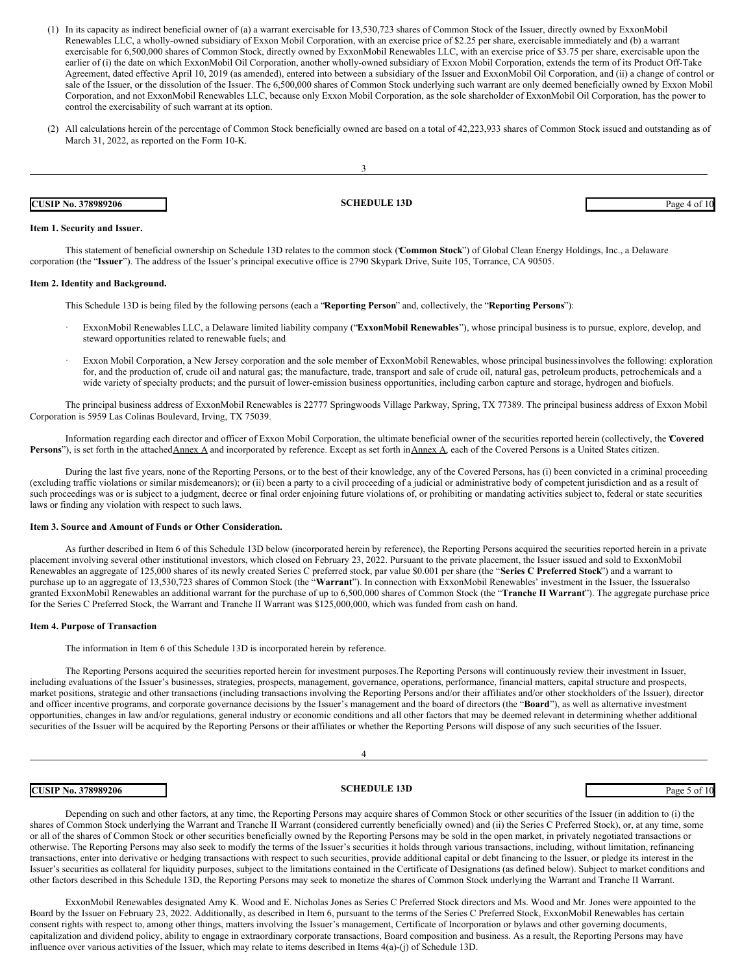- (1) In its capacity as indirect beneficial owner of (a) a warrant exercisable for 13,530,723 shares of Common Stock of the Issuer, directly owned by ExxonMobil Renewables LLC, a wholly-owned subsidiary of Exxon Mobil Corporation, with an exercise price of \$2.25 per share, exercisable immediately and (b) a warrant exercisable for 6,500,000 shares of Common Stock, directly owned by ExxonMobil Renewables LLC, with an exercise price of \$3.75 per share, exercisable upon the earlier of (i) the date on which ExxonMobil Oil Corporation, another wholly-owned subsidiary of Exxon Mobil Corporation, extends the term of its Product Off-Take Agreement, dated effective April 10, 2019 (as amended), entered into between a subsidiary of the Issuer and ExxonMobil Oil Corporation, and (ii) a change of control or sale of the Issuer, or the dissolution of the Issuer. The 6,500,000 shares of Common Stock underlying such warrant are only deemed beneficially owned by Exxon Mobil Corporation, and not ExxonMobil Renewables LLC, because only Exxon Mobil Corporation, as the sole shareholder of ExxonMobil Oil Corporation, has the power to control the exercisability of such warrant at its option.
- (2) All calculations herein of the percentage of Common Stock beneficially owned are based on a total of 42,223,933 shares of Common Stock issued and outstanding as of March 31, 2022, as reported on the Form 10-K.

| <b>CUSIP No. 378989206</b> | <b>SCHEDULE 13D</b> | Page 4 of 10 |
|----------------------------|---------------------|--------------|

## **Item 1. Security and Issuer.**

This statement of beneficial ownership on Schedule 13D relates to the common stock ("**Common Stock**") of Global Clean Energy Holdings, Inc., a Delaware corporation (the "**Issuer**"). The address of the Issuer's principal executive office is 2790 Skypark Drive, Suite 105, Torrance, CA 90505.

#### **Item 2. Identity and Background.**

This Schedule 13D is being filed by the following persons (each a "**Reporting Person**" and, collectively, the "**Reporting Persons**"):

- · ExxonMobil Renewables LLC, a Delaware limited liability company ("**ExxonMobil Renewables**"), whose principal business is to pursue, explore, develop, and steward opportunities related to renewable fuels; and
- Exxon Mobil Corporation, a New Jersey corporation and the sole member of ExxonMobil Renewables, whose principal businessinvolves the following: exploration for, and the production of, crude oil and natural gas; the manufacture, trade, transport and sale of crude oil, natural gas, petroleum products, petrochemicals and a wide variety of specialty products; and the pursuit of lower-emission business opportunities, including carbon capture and storage, hydrogen and biofuels.

The principal business address of ExxonMobil Renewables is 22777 Springwoods Village Parkway, Spring, TX 77389. The principal business address of Exxon Mobil Corporation is 5959 Las Colinas Boulevard, Irving, TX 75039.

Information regarding each director and officer of Exxon Mobil Corporation, the ultimate beneficial owner of the securities reported herein (collectively, the "**Covered** Persons"), is set forth in the attachedAnnex A and incorporated by reference. Except as set forth inAnnex A, each of the Covered Persons is a United States citizen.

During the last five years, none of the Reporting Persons, or to the best of their knowledge, any of the Covered Persons, has (i) been convicted in a criminal proceeding (excluding traffic violations or similar misdemeanors); or (ii) been a party to a civil proceeding of a judicial or administrative body of competent jurisdiction and as a result of such proceedings was or is subject to a judgment, decree or final order enjoining future violations of, or prohibiting or mandating activities subject to, federal or state securities laws or finding any violation with respect to such laws.

#### **Item 3. Source and Amount of Funds or Other Consideration.**

As further described in Item 6 of this Schedule 13D below (incorporated herein by reference), the Reporting Persons acquired the securities reported herein in a private placement involving several other institutional investors, which closed on February 23, 2022. Pursuant to the private placement, the Issuer issued and sold to ExxonMobil Renewables an aggregate of 125,000 shares of its newly created Series C preferred stock, par value \$0.001 per share (the "**Series C Preferred Stock**") and a warrant to purchase up to an aggregate of 13,530,723 shares of Common Stock (the "**Warrant**"). In connection with ExxonMobil Renewables' investment in the Issuer, the Issueralso granted ExxonMobil Renewables an additional warrant for the purchase of up to 6,500,000 shares of Common Stock (the "**Tranche II Warrant**"). The aggregate purchase price for the Series C Preferred Stock, the Warrant and Tranche II Warrant was \$125,000,000, which was funded from cash on hand.

#### **Item 4. Purpose of Transaction**

The information in Item 6 of this Schedule 13D is incorporated herein by reference.

The Reporting Persons acquired the securities reported herein for investment purposes.The Reporting Persons will continuously review their investment in Issuer, including evaluations of the Issuer's businesses, strategies, prospects, management, governance, operations, performance, financial matters, capital structure and prospects, market positions, strategic and other transactions (including transactions involving the Reporting Persons and/or their affiliates and/or other stockholders of the Issuer), director and officer incentive programs, and corporate governance decisions by the Issuer's management and the board of directors (the "**Board**"), as well as alternative investment opportunities, changes in law and/or regulations, general industry or economic conditions and all other factors that may be deemed relevant in determining whether additional securities of the Issuer will be acquired by the Reporting Persons or their affiliates or whether the Reporting Persons will dispose of any such securities of the Issuer.

4

## **CUSIP** No. 378989206 **Page 5 of 10 SCHEDULE 13D** Page 5 of 10

Depending on such and other factors, at any time, the Reporting Persons may acquire shares of Common Stock or other securities of the Issuer (in addition to (i) the shares of Common Stock underlying the Warrant and Tranche II Warrant (considered currently beneficially owned) and (ii) the Series C Preferred Stock), or, at any time, some or all of the shares of Common Stock or other securities beneficially owned by the Reporting Persons may be sold in the open market, in privately negotiated transactions or otherwise. The Reporting Persons may also seek to modify the terms of the Issuer's securities it holds through various transactions, including, without limitation, refinancing transactions, enter into derivative or hedging transactions with respect to such securities, provide additional capital or debt financing to the Issuer, or pledge its interest in the Issuer's securities as collateral for liquidity purposes, subject to the limitations contained in the Certificate of Designations (as defined below). Subject to market conditions and other factors described in this Schedule 13D, the Reporting Persons may seek to monetize the shares of Common Stock underlying the Warrant and Tranche II Warrant.

ExxonMobil Renewables designated Amy K. Wood and E. Nicholas Jones as Series C Preferred Stock directors and Ms. Wood and Mr. Jones were appointed to the Board by the Issuer on February 23, 2022. Additionally, as described in Item 6, pursuant to the terms of the Series C Preferred Stock, ExxonMobil Renewables has certain consent rights with respect to, among other things, matters involving the Issuer's management, Certificate of Incorporation or bylaws and other governing documents, capitalization and dividend policy, ability to engage in extraordinary corporate transactions, Board composition and business. As a result, the Reporting Persons may have influence over various activities of the Issuer, which may relate to items described in Items 4(a)-(j) of Schedule 13D.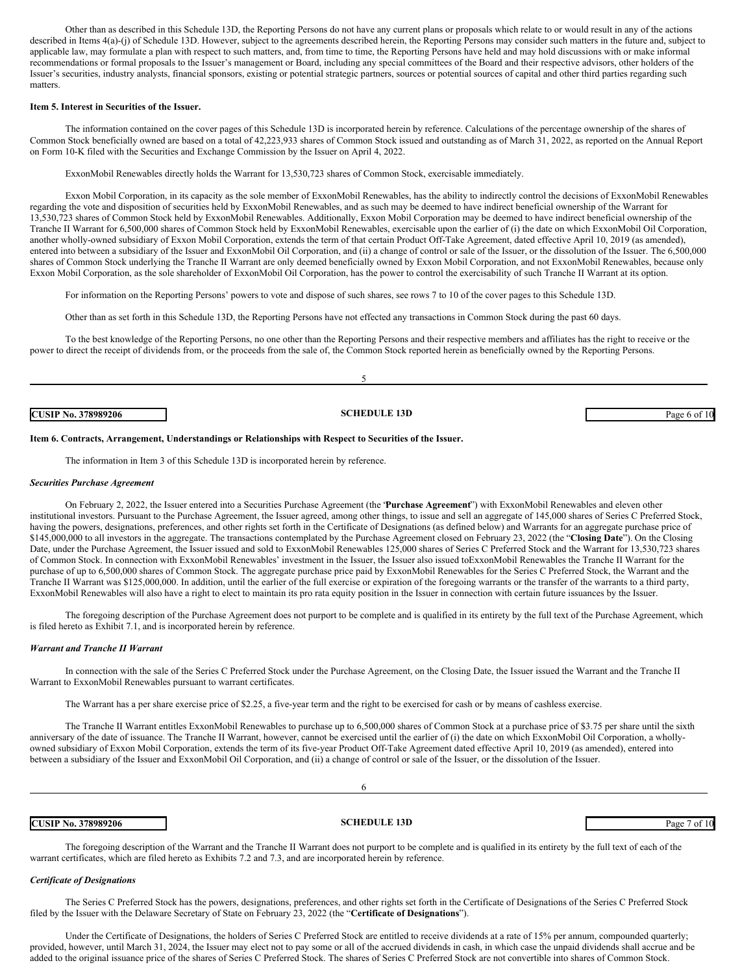Other than as described in this Schedule 13D, the Reporting Persons do not have any current plans or proposals which relate to or would result in any of the actions described in Items 4(a)-(j) of Schedule 13D. However, subject to the agreements described herein, the Reporting Persons may consider such matters in the future and, subject to applicable law, may formulate a plan with respect to such matters, and, from time to time, the Reporting Persons have held and may hold discussions with or make informal recommendations or formal proposals to the Issuer's management or Board, including any special committees of the Board and their respective advisors, other holders of the Issuer's securities, industry analysts, financial sponsors, existing or potential strategic partners, sources or potential sources of capital and other third parties regarding such matters.

#### **Item 5. Interest in Securities of the Issuer.**

The information contained on the cover pages of this Schedule 13D is incorporated herein by reference. Calculations of the percentage ownership of the shares of Common Stock beneficially owned are based on a total of 42,223,933 shares of Common Stock issued and outstanding as of March 31, 2022, as reported on the Annual Report on Form 10-K filed with the Securities and Exchange Commission by the Issuer on April 4, 2022.

ExxonMobil Renewables directly holds the Warrant for 13,530,723 shares of Common Stock, exercisable immediately.

Exxon Mobil Corporation, in its capacity as the sole member of ExxonMobil Renewables, has the ability to indirectly control the decisions of ExxonMobil Renewables regarding the vote and disposition of securities held by ExxonMobil Renewables, and as such may be deemed to have indirect beneficial ownership of the Warrant for 13,530,723 shares of Common Stock held by ExxonMobil Renewables. Additionally, Exxon Mobil Corporation may be deemed to have indirect beneficial ownership of the Tranche II Warrant for 6,500,000 shares of Common Stock held by ExxonMobil Renewables, exercisable upon the earlier of (i) the date on which ExxonMobil Oil Corporation, another wholly-owned subsidiary of Exxon Mobil Corporation, extends the term of that certain Product Off-Take Agreement, dated effective April 10, 2019 (as amended), entered into between a subsidiary of the Issuer and ExxonMobil Oil Corporation, and (ii) a change of control or sale of the Issuer, or the dissolution of the Issuer. The 6,500,000 shares of Common Stock underlying the Tranche II Warrant are only deemed beneficially owned by Exxon Mobil Corporation, and not ExxonMobil Renewables, because only Exxon Mobil Corporation, as the sole shareholder of ExxonMobil Oil Corporation, has the power to control the exercisability of such Tranche II Warrant at its option.

For information on the Reporting Persons' powers to vote and dispose of such shares, see rows 7 to 10 of the cover pages to this Schedule 13D.

Other than as set forth in this Schedule 13D, the Reporting Persons have not effected any transactions in Common Stock during the past 60 days.

To the best knowledge of the Reporting Persons, no one other than the Reporting Persons and their respective members and affiliates has the right to receive or the power to direct the receipt of dividends from, or the proceeds from the sale of, the Common Stock reported herein as beneficially owned by the Reporting Persons.

5

**CUSIP No. 378989206 SCHEDULE 13D** Page 6 of 10

#### **Item 6. Contracts, Arrangement, Understandings or Relationships with Respect to Securities of the Issuer.**

The information in Item 3 of this Schedule 13D is incorporated herein by reference.

#### *Securities Purchase Agreement*

On February 2, 2022, the Issuer entered into a Securities Purchase Agreement (the "**Purchase Agreement**") with ExxonMobil Renewables and eleven other institutional investors. Pursuant to the Purchase Agreement, the Issuer agreed, among other things, to issue and sell an aggregate of 145,000 shares of Series C Preferred Stock, having the powers, designations, preferences, and other rights set forth in the Certificate of Designations (as defined below) and Warrants for an aggregate purchase price of \$145,000,000 to all investors in the aggregate. The transactions contemplated by the Purchase Agreement closed on February 23, 2022 (the "**Closing Date**"). On the Closing Date, under the Purchase Agreement, the Issuer issued and sold to ExxonMobil Renewables 125,000 shares of Series C Preferred Stock and the Warrant for 13,530,723 shares of Common Stock. In connection with ExxonMobil Renewables' investment in the Issuer, the Issuer also issued toExxonMobil Renewables the Tranche II Warrant for the purchase of up to 6,500,000 shares of Common Stock. The aggregate purchase price paid by ExxonMobil Renewables for the Series C Preferred Stock, the Warrant and the Tranche II Warrant was \$125,000,000. In addition, until the earlier of the full exercise or expiration of the foregoing warrants or the transfer of the warrants to a third party, ExxonMobil Renewables will also have a right to elect to maintain its pro rata equity position in the Issuer in connection with certain future issuances by the Issuer.

The foregoing description of the Purchase Agreement does not purport to be complete and is qualified in its entirety by the full text of the Purchase Agreement, which is filed hereto as Exhibit 7.1, and is incorporated herein by reference.

#### *Warrant and Tranche II Warrant*

In connection with the sale of the Series C Preferred Stock under the Purchase Agreement, on the Closing Date, the Issuer issued the Warrant and the Tranche II Warrant to ExxonMobil Renewables pursuant to warrant certificates.

The Warrant has a per share exercise price of \$2.25, a five-year term and the right to be exercised for cash or by means of cashless exercise.

The Tranche II Warrant entitles ExxonMobil Renewables to purchase up to 6,500,000 shares of Common Stock at a purchase price of \$3.75 per share until the sixth anniversary of the date of issuance. The Tranche II Warrant, however, cannot be exercised until the earlier of (i) the date on which ExxonMobil Oil Corporation, a whollyowned subsidiary of Exxon Mobil Corporation, extends the term of its five-year Product Off-Take Agreement dated effective April 10, 2019 (as amended), entered into between a subsidiary of the Issuer and ExxonMobil Oil Corporation, and (ii) a change of control or sale of the Issuer, or the dissolution of the Issuer.

| <b>CUSIP No. 378989206</b> | <b>SCHEDULE 13D</b>                                                                                                                                                  | Page 7 of 10 |
|----------------------------|----------------------------------------------------------------------------------------------------------------------------------------------------------------------|--------------|
|                            | The foregoing description of the Warrant and the Tranche II Warrant does not purport to be complete and is qualified in its entirety by the full text of each of the |              |

purport to be complete and is qualified in its entirety by the full text of each of the warrant certificates, which are filed hereto as Exhibits 7.2 and 7.3, and are incorporated herein by reference.

#### *Certificate of Designations*

The Series C Preferred Stock has the powers, designations, preferences, and other rights set forth in the Certificate of Designations of the Series C Preferred Stock filed by the Issuer with the Delaware Secretary of State on February 23, 2022 (the "**Certificate of Designations**").

Under the Certificate of Designations, the holders of Series C Preferred Stock are entitled to receive dividends at a rate of 15% per annum, compounded quarterly; provided, however, until March 31, 2024, the Issuer may elect not to pay some or all of the accrued dividends in cash, in which case the unpaid dividends shall accrue and be added to the original issuance price of the shares of Series C Preferred Stock. The shares of Series C Preferred Stock are not convertible into shares of Common Stock.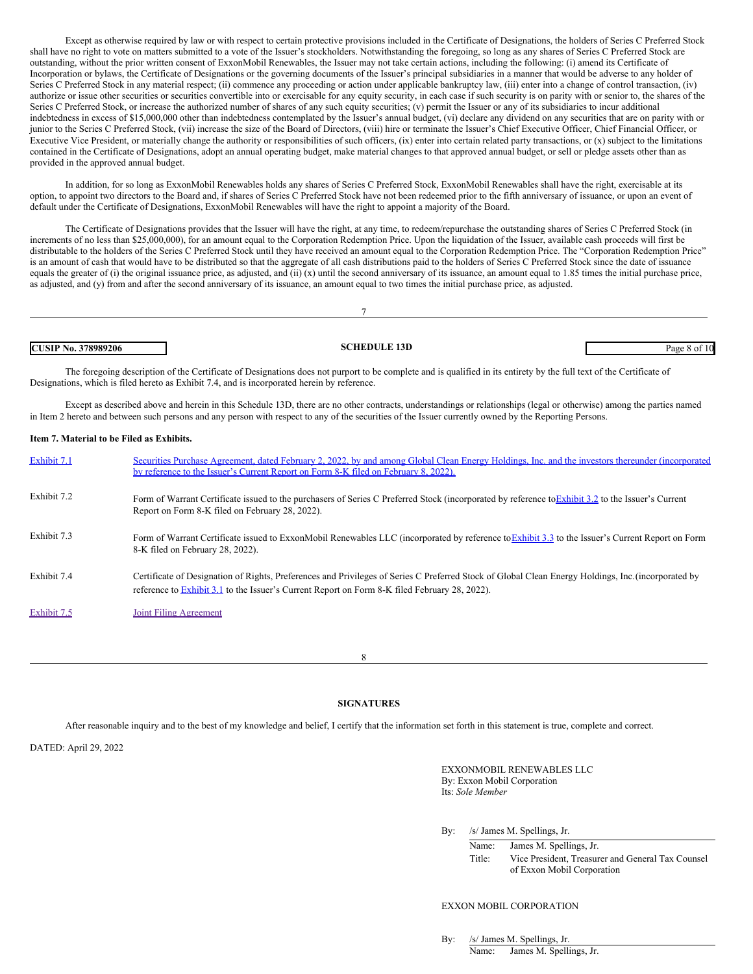Except as otherwise required by law or with respect to certain protective provisions included in the Certificate of Designations, the holders of Series C Preferred Stock shall have no right to vote on matters submitted to a vote of the Issuer's stockholders. Notwithstanding the foregoing, so long as any shares of Series C Preferred Stock are outstanding, without the prior written consent of ExxonMobil Renewables, the Issuer may not take certain actions, including the following: (i) amend its Certificate of Incorporation or bylaws, the Certificate of Designations or the governing documents of the Issuer's principal subsidiaries in a manner that would be adverse to any holder of Series C Preferred Stock in any material respect; (ii) commence any proceeding or action under applicable bankruptcy law, (iii) enter into a change of control transaction, (iv) authorize or issue other securities or securities convertible into or exercisable for any equity security, in each case if such security is on parity with or senior to, the shares of the Series C Preferred Stock, or increase the authorized number of shares of any such equity securities; (v) permit the Issuer or any of its subsidiaries to incur additional indebtedness in excess of \$15,000,000 other than indebtedness contemplated by the Issuer's annual budget, (vi) declare any dividend on any securities that are on parity with or junior to the Series C Preferred Stock, (vii) increase the size of the Board of Directors, (viii) hire or terminate the Issuer's Chief Executive Officer, Chief Financial Officer, or Executive Vice President, or materially change the authority or responsibilities of such officers, (ix) enter into certain related party transactions, or (x) subject to the limitations contained in the Certificate of Designations, adopt an annual operating budget, make material changes to that approved annual budget, or sell or pledge assets other than as provided in the approved annual budget.

In addition, for so long as ExxonMobil Renewables holds any shares of Series C Preferred Stock, ExxonMobil Renewables shall have the right, exercisable at its option, to appoint two directors to the Board and, if shares of Series C Preferred Stock have not been redeemed prior to the fifth anniversary of issuance, or upon an event of default under the Certificate of Designations, ExxonMobil Renewables will have the right to appoint a majority of the Board.

The Certificate of Designations provides that the Issuer will have the right, at any time, to redeem/repurchase the outstanding shares of Series C Preferred Stock (in increments of no less than \$25,000,000), for an amount equal to the Corporation Redemption Price. Upon the liquidation of the Issuer, available cash proceeds will first be distributable to the holders of the Series C Preferred Stock until they have received an amount equal to the Corporation Redemption Price. The "Corporation Redemption Price" is an amount of cash that would have to be distributed so that the aggregate of all cash distributions paid to the holders of Series C Preferred Stock since the date of issuance equals the greater of (i) the original issuance price, as adjusted, and (ii) (x) until the second anniversary of its issuance, an amount equal to 1.85 times the initial purchase price, as adjusted, and (y) from and after the second anniversary of its issuance, an amount equal to two times the initial purchase price, as adjusted.

| 378989206<br><b>CUSI</b><br>IP No. . | <b>SCHEDULE 13D</b> | Page<br>ำ () เ |
|--------------------------------------|---------------------|----------------|

The foregoing description of the Certificate of Designations does not purport to be complete and is qualified in its entirety by the full text of the Certificate of Designations, which is filed hereto as Exhibit 7.4, and is incorporated herein by reference.

Except as described above and herein in this Schedule 13D, there are no other contracts, understandings or relationships (legal or otherwise) among the parties named in Item 2 hereto and between such persons and any person with respect to any of the securities of the Issuer currently owned by the Reporting Persons.

#### **Item 7. Material to be Filed as Exhibits.**

| Exhibit 7.1 | Securities Purchase Agreement, dated February 2, 2022, by and among Global Clean Energy Holdings, Inc. and the investors thereunder (incorporated<br>by reference to the Issuer's Current Report on Form 8-K filed on February 8, 2022).                    |
|-------------|-------------------------------------------------------------------------------------------------------------------------------------------------------------------------------------------------------------------------------------------------------------|
| Exhibit 7.2 | Form of Warrant Certificate issued to the purchasers of Series C Preferred Stock (incorporated by reference to Exhibit 3.2 to the Issuer's Current<br>Report on Form 8-K filed on February 28, 2022).                                                       |
| Exhibit 7.3 | Form of Warrant Certificate issued to ExxonMobil Renewables LLC (incorporated by reference to Exhibit 3.3 to the Issuer's Current Report on Form<br>8-K filed on February 28, 2022).                                                                        |
| Exhibit 7.4 | Certificate of Designation of Rights, Preferences and Privileges of Series C Preferred Stock of Global Clean Energy Holdings, Inc. (incorporated by<br>reference to <b>Exhibit 3.1</b> to the Issuer's Current Report on Form 8-K filed February 28, 2022). |
| Exhibit 7.5 | Joint Filing Agreement                                                                                                                                                                                                                                      |

8

#### **SIGNATURES**

After reasonable inquiry and to the best of my knowledge and belief, I certify that the information set forth in this statement is true, complete and correct.

DATED: April 29, 2022

EXXONMOBIL RENEWABLES LLC By: Exxon Mobil Corporation Its: *Sole Member*

By: /s/ James M. Spellings, Jr.

Name: James M. Spellings, Jr. Title: Vice President, Treasurer and General Tax Counsel of Exxon Mobil Corporation

#### EXXON MOBIL CORPORATION

By: /s/ James M. Spellings, Jr.

Name: James M. Spellings, Jr.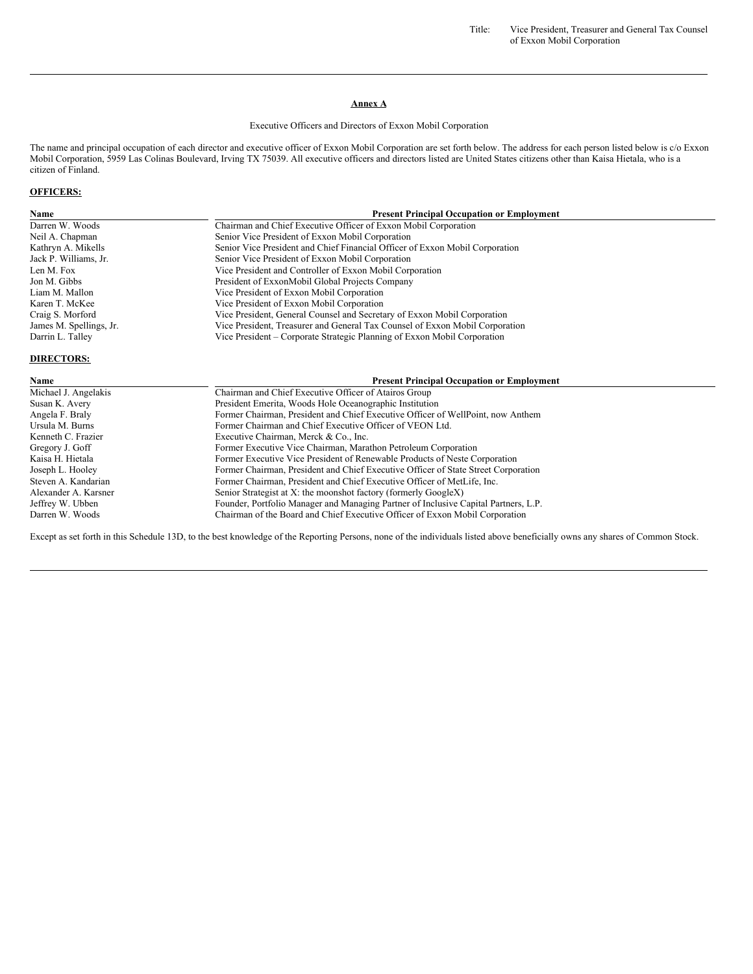Title: Vice President, Treasurer and General Tax Counsel of Exxon Mobil Corporation

### **Annex A**

#### Executive Officers and Directors of Exxon Mobil Corporation

The name and principal occupation of each director and executive officer of Exxon Mobil Corporation are set forth below. The address for each person listed below is c/o Exxon Mobil Corporation, 5959 Las Colinas Boulevard, Irving TX 75039. All executive officers and directors listed are United States citizens other than Kaisa Hietala, who is a citizen of Finland.

## **OFFICERS:**

| Name                    | <b>Present Principal Occupation or Employment</b>                            |
|-------------------------|------------------------------------------------------------------------------|
| Darren W. Woods         | Chairman and Chief Executive Officer of Exxon Mobil Corporation              |
| Neil A. Chapman         | Senior Vice President of Exxon Mobil Corporation                             |
| Kathryn A. Mikells      | Senior Vice President and Chief Financial Officer of Exxon Mobil Corporation |
| Jack P. Williams, Jr.   | Senior Vice President of Exxon Mobil Corporation                             |
| Len M. Fox              | Vice President and Controller of Exxon Mobil Corporation                     |
| Jon M. Gibbs            | President of ExxonMobil Global Projects Company                              |
| Liam M. Mallon          | Vice President of Exxon Mobil Corporation                                    |
| Karen T. McKee          | Vice President of Exxon Mobil Corporation                                    |
| Craig S. Morford        | Vice President, General Counsel and Secretary of Exxon Mobil Corporation     |
| James M. Spellings, Jr. | Vice President, Treasurer and General Tax Counsel of Exxon Mobil Corporation |
| Darrin L. Talley        | Vice President – Corporate Strategic Planning of Exxon Mobil Corporation     |

## **DIRECTORS:**

| <b>Present Principal Occupation or Employment</b>                                   |
|-------------------------------------------------------------------------------------|
| Chairman and Chief Executive Officer of Atairos Group                               |
| President Emerita, Woods Hole Oceanographic Institution                             |
| Former Chairman, President and Chief Executive Officer of WellPoint, now Anthem     |
| Former Chairman and Chief Executive Officer of VEON Ltd.                            |
| Executive Chairman, Merck & Co., Inc.                                               |
| Former Executive Vice Chairman, Marathon Petroleum Corporation                      |
| Former Executive Vice President of Renewable Products of Neste Corporation          |
| Former Chairman, President and Chief Executive Officer of State Street Corporation  |
| Former Chairman, President and Chief Executive Officer of MetLife, Inc.             |
| Senior Strategist at X: the moonshot factory (formerly GoogleX)                     |
| Founder, Portfolio Manager and Managing Partner of Inclusive Capital Partners, L.P. |
| Chairman of the Board and Chief Executive Officer of Exxon Mobil Corporation        |
|                                                                                     |

Except as set forth in this Schedule 13D, to the best knowledge of the Reporting Persons, none of the individuals listed above beneficially owns any shares of Common Stock.